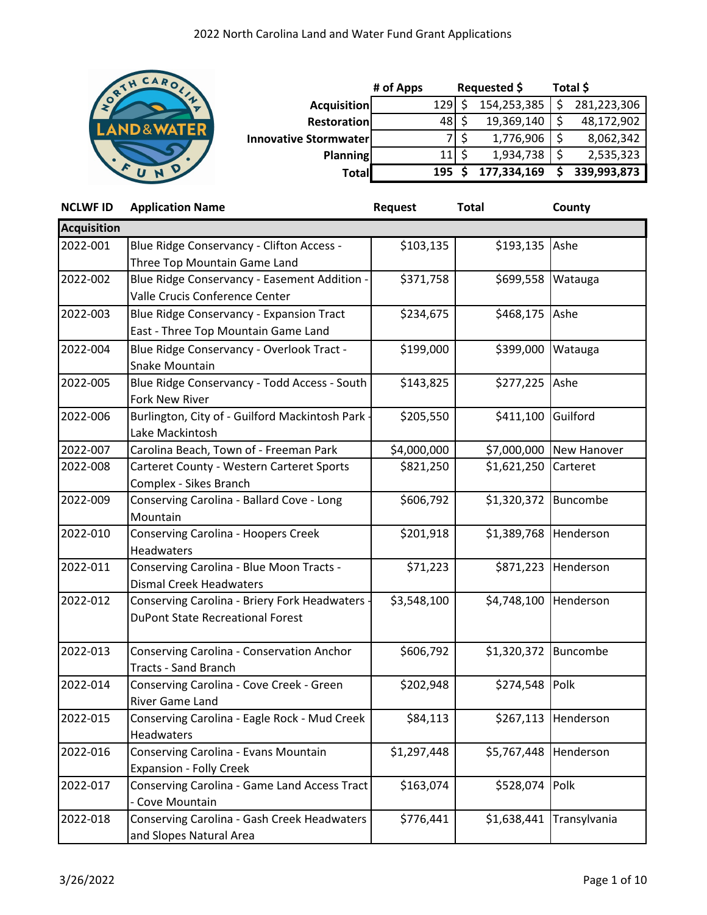

|                              | # of Apps | Requested \$ |     | Total \$    |    |             |
|------------------------------|-----------|--------------|-----|-------------|----|-------------|
| <b>Acquisition</b>           |           | 129          |     | 154,253,385 |    | 281,223,306 |
| <b>Restoration</b>           |           | 481          |     | 19,369,140  |    | 48,172,902  |
| <b>Innovative Stormwater</b> |           |              |     | 1,776,906   | \$ | 8,062,342   |
| Planning                     |           | 11           | -\$ | 1,934,738   |    | 2,535,323   |
| <b>Total</b>                 |           | 195          |     | 177,334,169 |    | 339,993,873 |

| <b>NCLWF ID</b>    | <b>Application Name</b>                          | <b>Request</b> | <b>Total</b> | County              |
|--------------------|--------------------------------------------------|----------------|--------------|---------------------|
| <b>Acquisition</b> |                                                  |                |              |                     |
| 2022-001           | Blue Ridge Conservancy - Clifton Access -        | \$103,135      | \$193,135    | Ashe                |
|                    | Three Top Mountain Game Land                     |                |              |                     |
| 2022-002           | Blue Ridge Conservancy - Easement Addition -     | \$371,758      | \$699,558    | Watauga             |
|                    | Valle Crucis Conference Center                   |                |              |                     |
| 2022-003           | <b>Blue Ridge Conservancy - Expansion Tract</b>  | \$234,675      | \$468,175    | Ashe                |
|                    | East - Three Top Mountain Game Land              |                |              |                     |
| 2022-004           | Blue Ridge Conservancy - Overlook Tract -        | \$199,000      | \$399,000    | Watauga             |
|                    | Snake Mountain                                   |                |              |                     |
| 2022-005           | Blue Ridge Conservancy - Todd Access - South     | \$143,825      | \$277,225    | Ashe                |
|                    | Fork New River                                   |                |              |                     |
| 2022-006           | Burlington, City of - Guilford Mackintosh Park - | \$205,550      | \$411,100    | Guilford            |
|                    | Lake Mackintosh                                  |                |              |                     |
| 2022-007           | Carolina Beach, Town of - Freeman Park           | \$4,000,000    | \$7,000,000  | New Hanover         |
| 2022-008           | Carteret County - Western Carteret Sports        | \$821,250      | \$1,621,250  | Carteret            |
|                    | Complex - Sikes Branch                           |                |              |                     |
| 2022-009           | Conserving Carolina - Ballard Cove - Long        | \$606,792      | \$1,320,372  | Buncombe            |
|                    | Mountain                                         |                |              |                     |
| 2022-010           | <b>Conserving Carolina - Hoopers Creek</b>       | \$201,918      | \$1,389,768  | Henderson           |
|                    | Headwaters                                       |                |              |                     |
| 2022-011           | Conserving Carolina - Blue Moon Tracts -         | \$71,223       | \$871,223    | Henderson           |
|                    | <b>Dismal Creek Headwaters</b>                   |                |              |                     |
| 2022-012           | Conserving Carolina - Briery Fork Headwaters -   | \$3,548,100    | \$4,748,100  | Henderson           |
|                    | <b>DuPont State Recreational Forest</b>          |                |              |                     |
| 2022-013           | Conserving Carolina - Conservation Anchor        | \$606,792      | \$1,320,372  | Buncombe            |
|                    | <b>Tracts - Sand Branch</b>                      |                |              |                     |
| 2022-014           | Conserving Carolina - Cove Creek - Green         | \$202,948      | \$274,548    | Polk                |
|                    | River Game Land                                  |                |              |                     |
| 2022-015           | Conserving Carolina - Eagle Rock - Mud Creek     | \$84,113       |              | \$267,113 Henderson |
|                    | Headwaters                                       |                |              |                     |
| 2022-016           | Conserving Carolina - Evans Mountain             | \$1,297,448    | \$5,767,448  | Henderson           |
|                    | <b>Expansion - Folly Creek</b>                   |                |              |                     |
| 2022-017           | Conserving Carolina - Game Land Access Tract     | \$163,074      | \$528,074    | Polk                |
|                    | - Cove Mountain                                  |                |              |                     |
| 2022-018           | Conserving Carolina - Gash Creek Headwaters      | \$776,441      | \$1,638,441  | Transylvania        |
|                    | and Slopes Natural Area                          |                |              |                     |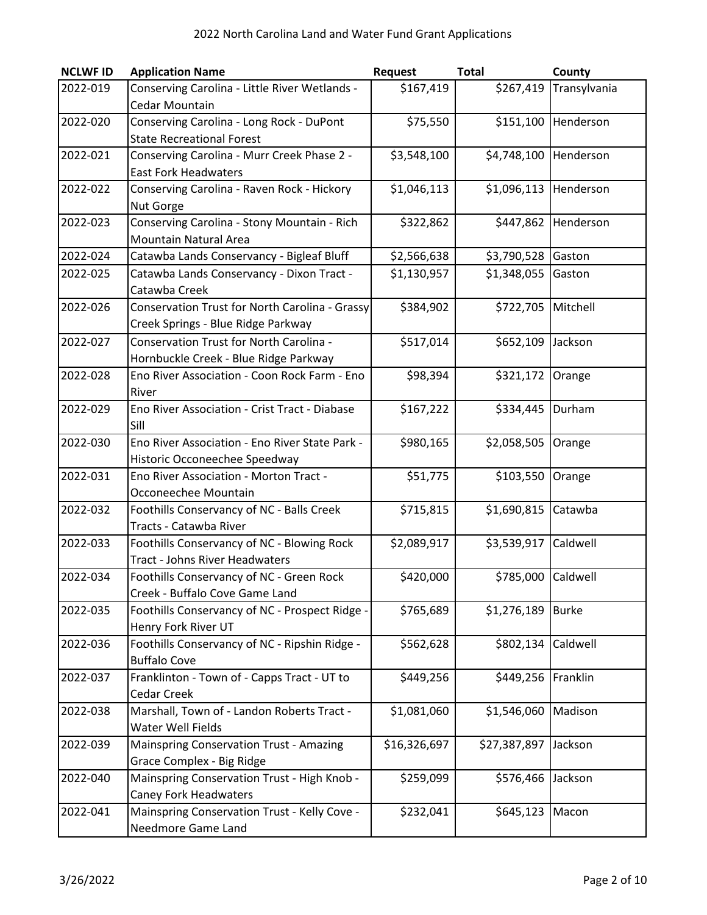| <b>NCLWF ID</b> | <b>Application Name</b>                                               | <b>Request</b> | <b>Total</b>       | County       |
|-----------------|-----------------------------------------------------------------------|----------------|--------------------|--------------|
| 2022-019        | Conserving Carolina - Little River Wetlands -                         | \$167,419      | \$267,419          | Transylvania |
|                 | <b>Cedar Mountain</b>                                                 |                |                    |              |
| 2022-020        | Conserving Carolina - Long Rock - DuPont                              | \$75,550       | \$151,100          | Henderson    |
|                 | <b>State Recreational Forest</b>                                      |                |                    |              |
| 2022-021        | Conserving Carolina - Murr Creek Phase 2 -                            | \$3,548,100    | \$4,748,100        | Henderson    |
|                 | <b>East Fork Headwaters</b>                                           |                |                    |              |
| 2022-022        | Conserving Carolina - Raven Rock - Hickory                            | \$1,046,113    | \$1,096,113        | Henderson    |
|                 | Nut Gorge                                                             |                |                    |              |
| 2022-023        | Conserving Carolina - Stony Mountain - Rich                           | \$322,862      | \$447,862          | Henderson    |
|                 | <b>Mountain Natural Area</b>                                          |                |                    |              |
| 2022-024        | Catawba Lands Conservancy - Bigleaf Bluff                             | \$2,566,638    | \$3,790,528        | Gaston       |
| 2022-025        | Catawba Lands Conservancy - Dixon Tract -                             | \$1,130,957    | \$1,348,055        | Gaston       |
|                 | Catawba Creek                                                         |                |                    |              |
| 2022-026        | Conservation Trust for North Carolina - Grassy                        | \$384,902      | \$722,705          | Mitchell     |
|                 | Creek Springs - Blue Ridge Parkway                                    |                |                    |              |
| 2022-027        | Conservation Trust for North Carolina -                               | \$517,014      | \$652,109          | Jackson      |
|                 | Hornbuckle Creek - Blue Ridge Parkway                                 |                |                    |              |
| 2022-028        | Eno River Association - Coon Rock Farm - Eno                          | \$98,394       | \$321,172          | Orange       |
|                 | River                                                                 |                |                    |              |
| 2022-029        | Eno River Association - Crist Tract - Diabase                         | \$167,222      | \$334,445          | Durham       |
|                 | Sill                                                                  |                |                    |              |
| 2022-030        | Eno River Association - Eno River State Park -                        | \$980,165      | \$2,058,505        | Orange       |
|                 | Historic Occoneechee Speedway                                         |                |                    |              |
| 2022-031        | Eno River Association - Morton Tract -                                | \$51,775       | \$103,550          | Orange       |
|                 | Occoneechee Mountain                                                  |                |                    |              |
| 2022-032        | Foothills Conservancy of NC - Balls Creek                             | \$715,815      | \$1,690,815        | Catawba      |
|                 | Tracts - Catawba River                                                |                |                    |              |
| 2022-033        | Foothills Conservancy of NC - Blowing Rock                            | \$2,089,917    | \$3,539,917        | Caldwell     |
|                 | <b>Tract - Johns River Headwaters</b>                                 |                |                    |              |
| 2022-034        | Foothills Conservancy of NC - Green Rock                              | \$420,000      | \$785,000 Caldwell |              |
|                 | Creek - Buffalo Cove Game Land                                        | \$765,689      |                    |              |
| 2022-035        | Foothills Conservancy of NC - Prospect Ridge -<br>Henry Fork River UT |                | \$1,276,189        | <b>Burke</b> |
| 2022-036        | Foothills Conservancy of NC - Ripshin Ridge -                         | \$562,628      | \$802,134          | Caldwell     |
|                 | <b>Buffalo Cove</b>                                                   |                |                    |              |
| 2022-037        | Franklinton - Town of - Capps Tract - UT to                           | \$449,256      | \$449,256          | Franklin     |
|                 | Cedar Creek                                                           |                |                    |              |
| 2022-038        | Marshall, Town of - Landon Roberts Tract -                            | \$1,081,060    | \$1,546,060        | Madison      |
|                 | Water Well Fields                                                     |                |                    |              |
| 2022-039        | <b>Mainspring Conservation Trust - Amazing</b>                        | \$16,326,697   | \$27,387,897       | Jackson      |
|                 | Grace Complex - Big Ridge                                             |                |                    |              |
| 2022-040        | Mainspring Conservation Trust - High Knob -                           | \$259,099      | \$576,466          | Jackson      |
|                 | Caney Fork Headwaters                                                 |                |                    |              |
| 2022-041        | Mainspring Conservation Trust - Kelly Cove -                          | \$232,041      | \$645,123          | Macon        |
|                 | Needmore Game Land                                                    |                |                    |              |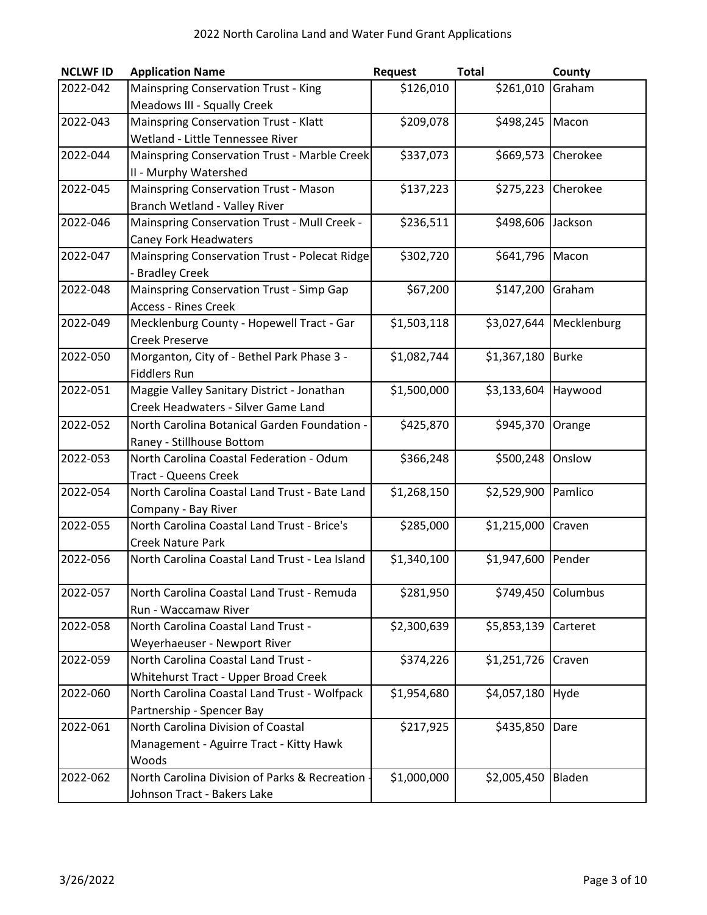| <b>NCLWF ID</b> | <b>Application Name</b>                         | <b>Request</b> | <b>Total</b> | County       |
|-----------------|-------------------------------------------------|----------------|--------------|--------------|
| 2022-042        | <b>Mainspring Conservation Trust - King</b>     | \$126,010      | \$261,010    | Graham       |
|                 | Meadows III - Squally Creek                     |                |              |              |
| 2022-043        | Mainspring Conservation Trust - Klatt           | \$209,078      | \$498,245    | Macon        |
|                 | Wetland - Little Tennessee River                |                |              |              |
| 2022-044        | Mainspring Conservation Trust - Marble Creek    | \$337,073      | \$669,573    | Cherokee     |
|                 | II - Murphy Watershed                           |                |              |              |
| 2022-045        | <b>Mainspring Conservation Trust - Mason</b>    | \$137,223      | \$275,223    | Cherokee     |
|                 | Branch Wetland - Valley River                   |                |              |              |
| 2022-046        | Mainspring Conservation Trust - Mull Creek -    | \$236,511      | \$498,606    | Jackson      |
|                 | <b>Caney Fork Headwaters</b>                    |                |              |              |
| 2022-047        | Mainspring Conservation Trust - Polecat Ridge   | \$302,720      | \$641,796    | Macon        |
|                 | - Bradley Creek                                 |                |              |              |
| 2022-048        | Mainspring Conservation Trust - Simp Gap        | \$67,200       | \$147,200    | Graham       |
|                 | <b>Access - Rines Creek</b>                     |                |              |              |
| 2022-049        | Mecklenburg County - Hopewell Tract - Gar       | \$1,503,118    | \$3,027,644  | Mecklenburg  |
|                 | <b>Creek Preserve</b>                           |                |              |              |
| 2022-050        | Morganton, City of - Bethel Park Phase 3 -      | \$1,082,744    | \$1,367,180  | <b>Burke</b> |
|                 | <b>Fiddlers Run</b>                             |                |              |              |
| 2022-051        | Maggie Valley Sanitary District - Jonathan      | \$1,500,000    | \$3,133,604  | Haywood      |
|                 | Creek Headwaters - Silver Game Land             |                |              |              |
| 2022-052        | North Carolina Botanical Garden Foundation -    | \$425,870      | \$945,370    | Orange       |
|                 | Raney - Stillhouse Bottom                       |                |              |              |
| 2022-053        | North Carolina Coastal Federation - Odum        | \$366,248      | \$500,248    | Onslow       |
|                 | <b>Tract - Queens Creek</b>                     |                |              |              |
| 2022-054        | North Carolina Coastal Land Trust - Bate Land   | \$1,268,150    | \$2,529,900  | Pamlico      |
|                 | Company - Bay River                             |                |              |              |
| 2022-055        | North Carolina Coastal Land Trust - Brice's     | \$285,000      | \$1,215,000  | Craven       |
|                 | <b>Creek Nature Park</b>                        |                |              |              |
| 2022-056        | North Carolina Coastal Land Trust - Lea Island  | \$1,340,100    | \$1,947,600  | Pender       |
|                 |                                                 |                |              |              |
| 2022-057        | North Carolina Coastal Land Trust - Remuda      | \$281,950      | \$749,450    | Columbus     |
|                 | Run - Waccamaw River                            |                |              |              |
| 2022-058        | North Carolina Coastal Land Trust -             | \$2,300,639    | \$5,853,139  | Carteret     |
|                 | Weyerhaeuser - Newport River                    |                |              |              |
| 2022-059        | North Carolina Coastal Land Trust -             | \$374,226      | \$1,251,726  | Craven       |
|                 | Whitehurst Tract - Upper Broad Creek            |                |              |              |
| 2022-060        | North Carolina Coastal Land Trust - Wolfpack    | \$1,954,680    | \$4,057,180  | Hyde         |
|                 | Partnership - Spencer Bay                       |                |              |              |
| 2022-061        | North Carolina Division of Coastal              | \$217,925      | \$435,850    | Dare         |
|                 | Management - Aguirre Tract - Kitty Hawk         |                |              |              |
|                 | Woods                                           |                |              |              |
| 2022-062        | North Carolina Division of Parks & Recreation - | \$1,000,000    | \$2,005,450  | Bladen       |
|                 | Johnson Tract - Bakers Lake                     |                |              |              |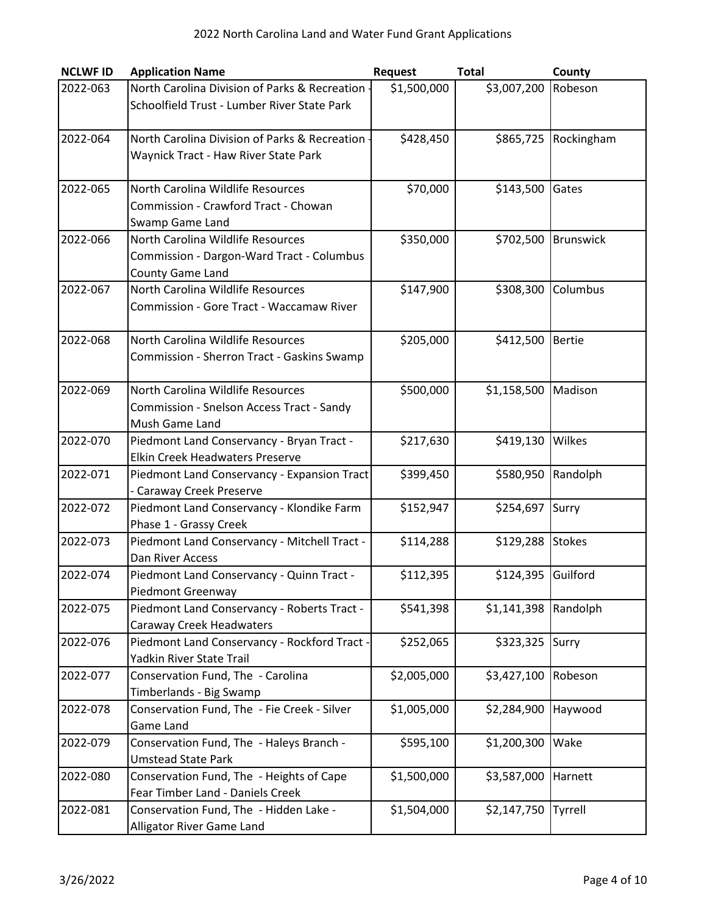| <b>NCLWF ID</b> | <b>Application Name</b>                                                  | Request     | <b>Total</b>       | County           |
|-----------------|--------------------------------------------------------------------------|-------------|--------------------|------------------|
| 2022-063        | North Carolina Division of Parks & Recreation -                          | \$1,500,000 | \$3,007,200        | Robeson          |
|                 | Schoolfield Trust - Lumber River State Park                              |             |                    |                  |
|                 |                                                                          |             |                    |                  |
| 2022-064        | North Carolina Division of Parks & Recreation -                          | \$428,450   | \$865,725          | Rockingham       |
|                 | Waynick Tract - Haw River State Park                                     |             |                    |                  |
|                 |                                                                          |             |                    |                  |
| 2022-065        | North Carolina Wildlife Resources                                        | \$70,000    | \$143,500          | Gates            |
|                 | Commission - Crawford Tract - Chowan                                     |             |                    |                  |
|                 | Swamp Game Land                                                          |             |                    |                  |
| 2022-066        | North Carolina Wildlife Resources                                        | \$350,000   | \$702,500          | <b>Brunswick</b> |
|                 | Commission - Dargon-Ward Tract - Columbus                                |             |                    |                  |
| 2022-067        | County Game Land<br>North Carolina Wildlife Resources                    |             |                    |                  |
|                 | Commission - Gore Tract - Waccamaw River                                 | \$147,900   | \$308,300          | Columbus         |
|                 |                                                                          |             |                    |                  |
| 2022-068        | North Carolina Wildlife Resources                                        | \$205,000   | \$412,500          | <b>Bertie</b>    |
|                 | Commission - Sherron Tract - Gaskins Swamp                               |             |                    |                  |
|                 |                                                                          |             |                    |                  |
| 2022-069        | North Carolina Wildlife Resources                                        | \$500,000   | \$1,158,500        | Madison          |
|                 | Commission - Snelson Access Tract - Sandy                                |             |                    |                  |
|                 | Mush Game Land                                                           |             |                    |                  |
| 2022-070        | Piedmont Land Conservancy - Bryan Tract -                                | \$217,630   | \$419,130          | Wilkes           |
|                 | <b>Elkin Creek Headwaters Preserve</b>                                   |             |                    |                  |
| 2022-071        | Piedmont Land Conservancy - Expansion Tract                              | \$399,450   | \$580,950          | Randolph         |
|                 | - Caraway Creek Preserve                                                 |             |                    |                  |
| 2022-072        | Piedmont Land Conservancy - Klondike Farm                                | \$152,947   | \$254,697          | Surry            |
|                 | Phase 1 - Grassy Creek                                                   |             |                    |                  |
| 2022-073        | Piedmont Land Conservancy - Mitchell Tract -                             | \$114,288   | \$129,288          | <b>Stokes</b>    |
|                 | Dan River Access                                                         |             |                    |                  |
| 2022-074        | Piedmont Land Conservancy - Quinn Tract -                                | \$112,395   | \$124,395 Guilford |                  |
|                 | Piedmont Greenway                                                        |             |                    |                  |
| 2022-075        | Piedmont Land Conservancy - Roberts Tract -                              | \$541,398   | \$1,141,398        | Randolph         |
| 2022-076        | Caraway Creek Headwaters                                                 | \$252,065   |                    |                  |
|                 | Piedmont Land Conservancy - Rockford Tract -<br>Yadkin River State Trail |             | \$323,325          | Surry            |
| 2022-077        | Conservation Fund, The - Carolina                                        | \$2,005,000 | \$3,427,100        | Robeson          |
|                 | Timberlands - Big Swamp                                                  |             |                    |                  |
| 2022-078        | Conservation Fund, The - Fie Creek - Silver                              | \$1,005,000 | \$2,284,900        | Haywood          |
|                 | <b>Game Land</b>                                                         |             |                    |                  |
| 2022-079        | Conservation Fund, The - Haleys Branch -                                 | \$595,100   | \$1,200,300        | Wake             |
|                 | <b>Umstead State Park</b>                                                |             |                    |                  |
| 2022-080        | Conservation Fund, The - Heights of Cape                                 | \$1,500,000 | \$3,587,000        | Harnett          |
|                 | Fear Timber Land - Daniels Creek                                         |             |                    |                  |
| 2022-081        | Conservation Fund, The - Hidden Lake -                                   | \$1,504,000 | \$2,147,750        | Tyrrell          |
|                 | Alligator River Game Land                                                |             |                    |                  |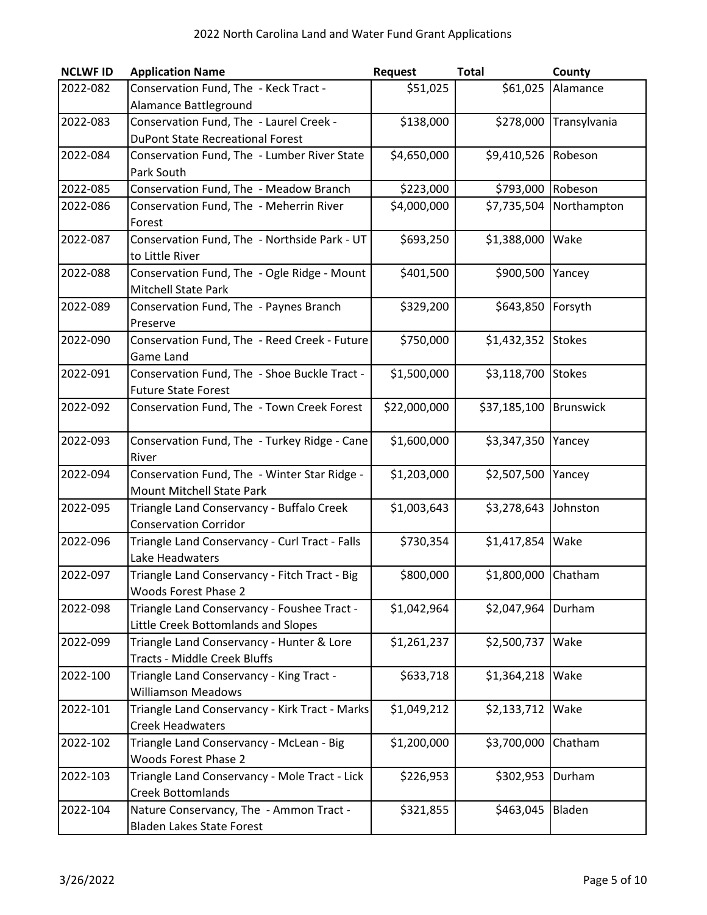| <b>NCLWF ID</b> | <b>Application Name</b>                        | Request      | <b>Total</b>        | County        |
|-----------------|------------------------------------------------|--------------|---------------------|---------------|
| 2022-082        | Conservation Fund, The - Keck Tract -          | \$51,025     | \$61,025            | Alamance      |
|                 | Alamance Battleground                          |              |                     |               |
| 2022-083        | Conservation Fund, The - Laurel Creek -        | \$138,000    | \$278,000           | Transylvania  |
|                 | <b>DuPont State Recreational Forest</b>        |              |                     |               |
| 2022-084        | Conservation Fund, The - Lumber River State    | \$4,650,000  | \$9,410,526         | Robeson       |
|                 | Park South                                     |              |                     |               |
| 2022-085        | Conservation Fund, The - Meadow Branch         | \$223,000    | \$793,000 Robeson   |               |
| 2022-086        | Conservation Fund, The - Meherrin River        | \$4,000,000  | \$7,735,504         | Northampton   |
|                 | Forest                                         |              |                     |               |
| 2022-087        | Conservation Fund, The - Northside Park - UT   | \$693,250    | \$1,388,000         | Wake          |
|                 | to Little River                                |              |                     |               |
| 2022-088        | Conservation Fund, The - Ogle Ridge - Mount    | \$401,500    | \$900,500           | Yancey        |
|                 | Mitchell State Park                            |              |                     |               |
| 2022-089        | Conservation Fund, The - Paynes Branch         | \$329,200    | \$643,850           | Forsyth       |
|                 | Preserve                                       |              |                     |               |
| 2022-090        | Conservation Fund, The - Reed Creek - Future   | \$750,000    | \$1,432,352         | <b>Stokes</b> |
|                 | Game Land                                      |              |                     |               |
| 2022-091        | Conservation Fund, The - Shoe Buckle Tract -   | \$1,500,000  | \$3,118,700         | <b>Stokes</b> |
|                 | <b>Future State Forest</b>                     |              |                     |               |
| 2022-092        | Conservation Fund, The - Town Creek Forest     | \$22,000,000 | \$37,185,100        | Brunswick     |
| 2022-093        | Conservation Fund, The - Turkey Ridge - Cane   | \$1,600,000  | \$3,347,350         | Yancey        |
|                 | River                                          |              |                     |               |
| 2022-094        | Conservation Fund, The - Winter Star Ridge -   | \$1,203,000  | \$2,507,500         | Yancey        |
|                 | Mount Mitchell State Park                      |              |                     |               |
| 2022-095        | Triangle Land Conservancy - Buffalo Creek      | \$1,003,643  | \$3,278,643         | Johnston      |
|                 | <b>Conservation Corridor</b>                   |              |                     |               |
| 2022-096        | Triangle Land Conservancy - Curl Tract - Falls | \$730,354    | \$1,417,854         | Wake          |
|                 | Lake Headwaters                                |              |                     |               |
| 2022-097        | Triangle Land Conservancy - Fitch Tract - Big  | \$800,000    | \$1,800,000 Chatham |               |
|                 | <b>Woods Forest Phase 2</b>                    |              |                     |               |
| 2022-098        | Triangle Land Conservancy - Foushee Tract -    | \$1,042,964  | \$2,047,964         | Durham        |
|                 | Little Creek Bottomlands and Slopes            |              |                     |               |
| 2022-099        | Triangle Land Conservancy - Hunter & Lore      | \$1,261,237  | \$2,500,737         | Wake          |
|                 | <b>Tracts - Middle Creek Bluffs</b>            |              |                     |               |
| 2022-100        | Triangle Land Conservancy - King Tract -       | \$633,718    | \$1,364,218         | Wake          |
|                 | <b>Williamson Meadows</b>                      |              |                     |               |
| 2022-101        | Triangle Land Conservancy - Kirk Tract - Marks | \$1,049,212  | \$2,133,712         | Wake          |
|                 | <b>Creek Headwaters</b>                        |              |                     |               |
| 2022-102        | Triangle Land Conservancy - McLean - Big       | \$1,200,000  | \$3,700,000         | Chatham       |
|                 | <b>Woods Forest Phase 2</b>                    |              |                     |               |
| 2022-103        | Triangle Land Conservancy - Mole Tract - Lick  | \$226,953    | \$302,953           | Durham        |
|                 | <b>Creek Bottomlands</b>                       |              |                     |               |
| 2022-104        | Nature Conservancy, The - Ammon Tract -        | \$321,855    | \$463,045           | Bladen        |
|                 | Bladen Lakes State Forest                      |              |                     |               |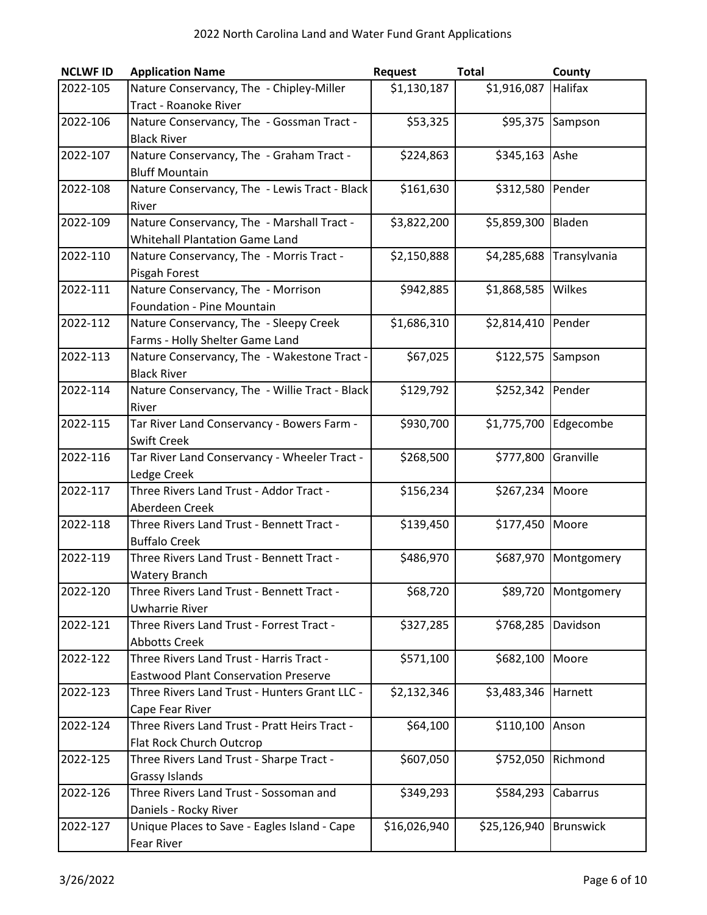| <b>NCLWF ID</b> | <b>Application Name</b>                                           | Request      | <b>Total</b> | County           |
|-----------------|-------------------------------------------------------------------|--------------|--------------|------------------|
| 2022-105        | Nature Conservancy, The - Chipley-Miller                          | \$1,130,187  | \$1,916,087  | Halifax          |
|                 | <b>Tract - Roanoke River</b>                                      |              |              |                  |
| 2022-106        | Nature Conservancy, The - Gossman Tract -                         | \$53,325     | \$95,375     | Sampson          |
|                 | <b>Black River</b>                                                |              |              |                  |
| 2022-107        | Nature Conservancy, The - Graham Tract -                          | \$224,863    | \$345,163    | Ashe             |
|                 | <b>Bluff Mountain</b>                                             |              |              |                  |
| 2022-108        | Nature Conservancy, The - Lewis Tract - Black                     | \$161,630    | \$312,580    | Pender           |
|                 | River                                                             |              |              |                  |
| 2022-109        | Nature Conservancy, The - Marshall Tract -                        | \$3,822,200  | \$5,859,300  | Bladen           |
|                 | <b>Whitehall Plantation Game Land</b>                             |              |              |                  |
| 2022-110        | Nature Conservancy, The - Morris Tract -                          | \$2,150,888  | \$4,285,688  | Transylvania     |
|                 | Pisgah Forest                                                     |              |              |                  |
| 2022-111        | Nature Conservancy, The - Morrison                                | \$942,885    | \$1,868,585  | Wilkes           |
|                 | Foundation - Pine Mountain                                        |              |              |                  |
| 2022-112        | Nature Conservancy, The - Sleepy Creek                            | \$1,686,310  | \$2,814,410  | Pender           |
|                 | Farms - Holly Shelter Game Land                                   |              |              |                  |
| 2022-113        | Nature Conservancy, The - Wakestone Tract -                       | \$67,025     | \$122,575    | Sampson          |
|                 | <b>Black River</b>                                                |              |              |                  |
| 2022-114        | Nature Conservancy, The - Willie Tract - Black                    | \$129,792    | \$252,342    | Pender           |
|                 | River                                                             |              |              |                  |
| 2022-115        | Tar River Land Conservancy - Bowers Farm -                        | \$930,700    | \$1,775,700  | Edgecombe        |
|                 | <b>Swift Creek</b>                                                |              |              |                  |
| 2022-116        | Tar River Land Conservancy - Wheeler Tract -                      | \$268,500    | \$777,800    | Granville        |
|                 | Ledge Creek                                                       |              |              |                  |
| 2022-117        | Three Rivers Land Trust - Addor Tract -                           | \$156,234    | \$267,234    | Moore            |
|                 | Aberdeen Creek                                                    |              |              |                  |
| 2022-118        | Three Rivers Land Trust - Bennett Tract -                         | \$139,450    | \$177,450    | Moore            |
|                 | <b>Buffalo Creek</b>                                              |              |              |                  |
| 2022-119        | Three Rivers Land Trust - Bennett Tract -                         | \$486,970    | \$687,970    | Montgomery       |
| 2022-120        | <b>Watery Branch</b><br>Three Rivers Land Trust - Bennett Tract - | \$68,720     | \$89,720     | Montgomery       |
|                 | <b>Uwharrie River</b>                                             |              |              |                  |
| 2022-121        | Three Rivers Land Trust - Forrest Tract -                         | \$327,285    | \$768,285    | Davidson         |
|                 | <b>Abbotts Creek</b>                                              |              |              |                  |
| 2022-122        | Three Rivers Land Trust - Harris Tract -                          | \$571,100    | \$682,100    | Moore            |
|                 | <b>Eastwood Plant Conservation Preserve</b>                       |              |              |                  |
| 2022-123        | Three Rivers Land Trust - Hunters Grant LLC -                     | \$2,132,346  | \$3,483,346  | Harnett          |
|                 | Cape Fear River                                                   |              |              |                  |
| 2022-124        | Three Rivers Land Trust - Pratt Heirs Tract -                     | \$64,100     | \$110,100    | Anson            |
|                 | Flat Rock Church Outcrop                                          |              |              |                  |
| 2022-125        | Three Rivers Land Trust - Sharpe Tract -                          | \$607,050    | \$752,050    | Richmond         |
|                 | Grassy Islands                                                    |              |              |                  |
| 2022-126        | Three Rivers Land Trust - Sossoman and                            | \$349,293    | \$584,293    | Cabarrus         |
|                 | Daniels - Rocky River                                             |              |              |                  |
| 2022-127        | Unique Places to Save - Eagles Island - Cape                      | \$16,026,940 | \$25,126,940 | <b>Brunswick</b> |
|                 | Fear River                                                        |              |              |                  |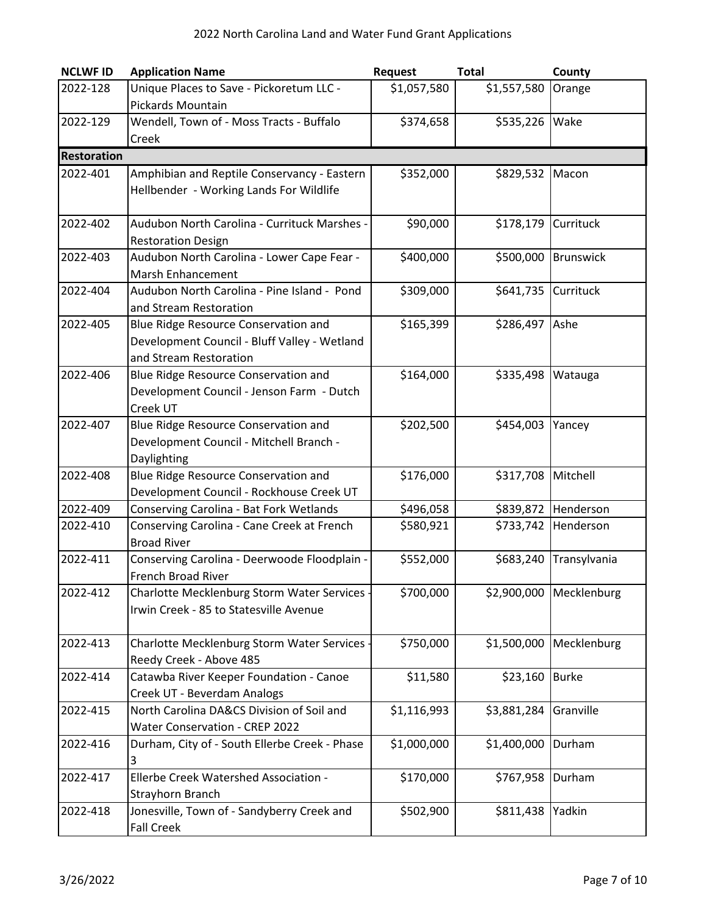| <b>NCLWF ID</b>    | <b>Application Name</b>                       | Request     | <b>Total</b> | County              |
|--------------------|-----------------------------------------------|-------------|--------------|---------------------|
| 2022-128           | Unique Places to Save - Pickoretum LLC -      | \$1,057,580 | \$1,557,580  | Orange              |
|                    | <b>Pickards Mountain</b>                      |             |              |                     |
| 2022-129           | Wendell, Town of - Moss Tracts - Buffalo      | \$374,658   | \$535,226    | Wake                |
|                    | Creek                                         |             |              |                     |
| <b>Restoration</b> |                                               |             |              |                     |
| 2022-401           | Amphibian and Reptile Conservancy - Eastern   | \$352,000   | \$829,532    | Macon               |
|                    | Hellbender - Working Lands For Wildlife       |             |              |                     |
| 2022-402           | Audubon North Carolina - Currituck Marshes -  | \$90,000    | \$178,179    | Currituck           |
|                    | <b>Restoration Design</b>                     |             |              |                     |
| 2022-403           | Audubon North Carolina - Lower Cape Fear -    | \$400,000   | \$500,000    | <b>Brunswick</b>    |
|                    | Marsh Enhancement                             |             |              |                     |
| 2022-404           | Audubon North Carolina - Pine Island - Pond   | \$309,000   | \$641,735    | Currituck           |
|                    | and Stream Restoration                        |             |              |                     |
| 2022-405           | Blue Ridge Resource Conservation and          | \$165,399   | \$286,497    | Ashe                |
|                    | Development Council - Bluff Valley - Wetland  |             |              |                     |
|                    | and Stream Restoration                        |             |              |                     |
| 2022-406           | Blue Ridge Resource Conservation and          | \$164,000   | \$335,498    | Watauga             |
|                    | Development Council - Jenson Farm - Dutch     |             |              |                     |
|                    | Creek UT                                      |             |              |                     |
| 2022-407           | Blue Ridge Resource Conservation and          | \$202,500   | \$454,003    | Yancey              |
|                    | Development Council - Mitchell Branch -       |             |              |                     |
|                    | Daylighting                                   |             |              |                     |
| 2022-408           | Blue Ridge Resource Conservation and          | \$176,000   | \$317,708    | Mitchell            |
|                    | Development Council - Rockhouse Creek UT      |             |              |                     |
| 2022-409           | Conserving Carolina - Bat Fork Wetlands       | \$496,058   |              | \$839,872 Henderson |
| 2022-410           | Conserving Carolina - Cane Creek at French    | \$580,921   | \$733,742    | Henderson           |
|                    | <b>Broad River</b>                            |             |              |                     |
| 2022-411           | Conserving Carolina - Deerwoode Floodplain -  | \$552,000   | \$683,240    | Transylvania        |
|                    | French Broad River                            |             |              |                     |
| 2022-412           | Charlotte Mecklenburg Storm Water Services    | \$700,000   | \$2,900,000  | Mecklenburg         |
|                    | Irwin Creek - 85 to Statesville Avenue        |             |              |                     |
| 2022-413           | Charlotte Mecklenburg Storm Water Services .  | \$750,000   | \$1,500,000  | Mecklenburg         |
|                    | Reedy Creek - Above 485                       |             |              |                     |
| 2022-414           | Catawba River Keeper Foundation - Canoe       | \$11,580    | \$23,160     | <b>Burke</b>        |
|                    | Creek UT - Beverdam Analogs                   |             |              |                     |
| 2022-415           | North Carolina DA&CS Division of Soil and     | \$1,116,993 | \$3,881,284  | Granville           |
|                    | Water Conservation - CREP 2022                |             |              |                     |
| 2022-416           | Durham, City of - South Ellerbe Creek - Phase | \$1,000,000 | \$1,400,000  | Durham              |
|                    | 3                                             |             |              |                     |
| 2022-417           | Ellerbe Creek Watershed Association -         | \$170,000   | \$767,958    | Durham              |
|                    | Strayhorn Branch                              |             |              |                     |
| 2022-418           | Jonesville, Town of - Sandyberry Creek and    | \$502,900   | \$811,438    | Yadkin              |
|                    | <b>Fall Creek</b>                             |             |              |                     |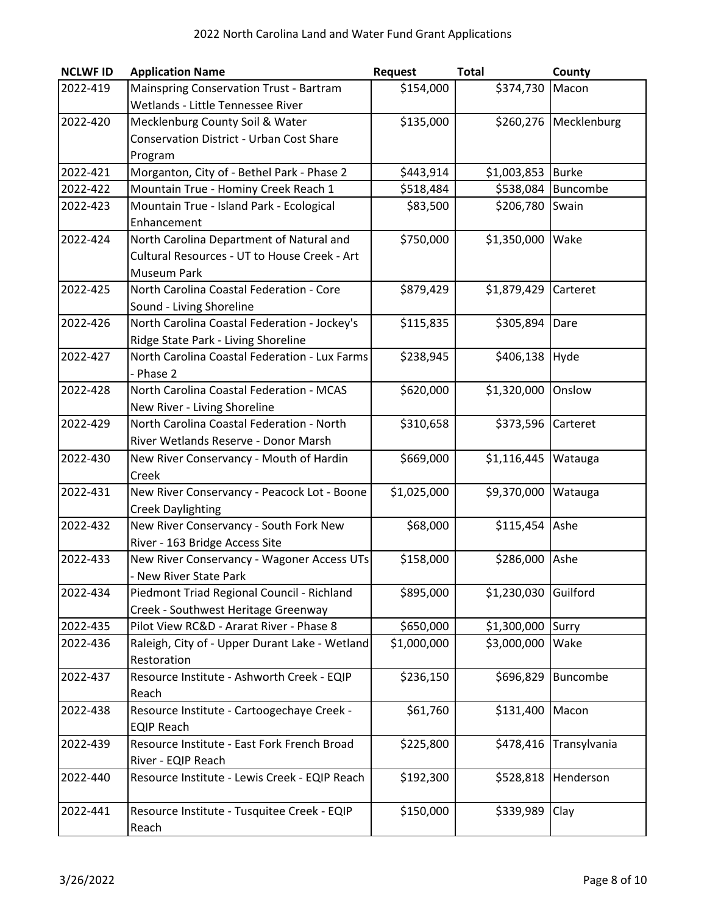| <b>NCLWF ID</b> | <b>Application Name</b>                         | <b>Request</b> | <b>Total</b> | County       |
|-----------------|-------------------------------------------------|----------------|--------------|--------------|
| 2022-419        | Mainspring Conservation Trust - Bartram         | \$154,000      | \$374,730    | Macon        |
|                 | Wetlands - Little Tennessee River               |                |              |              |
| 2022-420        | Mecklenburg County Soil & Water                 | \$135,000      | \$260,276    | Mecklenburg  |
|                 | <b>Conservation District - Urban Cost Share</b> |                |              |              |
|                 | Program                                         |                |              |              |
| 2022-421        | Morganton, City of - Bethel Park - Phase 2      | \$443,914      | \$1,003,853  | <b>Burke</b> |
| 2022-422        | Mountain True - Hominy Creek Reach 1            | \$518,484      | \$538,084    | Buncombe     |
| 2022-423        | Mountain True - Island Park - Ecological        | \$83,500       | \$206,780    | Swain        |
|                 | Enhancement                                     |                |              |              |
| 2022-424        | North Carolina Department of Natural and        | \$750,000      | \$1,350,000  | Wake         |
|                 | Cultural Resources - UT to House Creek - Art    |                |              |              |
|                 | <b>Museum Park</b>                              |                |              |              |
| 2022-425        | North Carolina Coastal Federation - Core        | \$879,429      | \$1,879,429  | Carteret     |
|                 | Sound - Living Shoreline                        |                |              |              |
| 2022-426        | North Carolina Coastal Federation - Jockey's    | \$115,835      | \$305,894    | Dare         |
|                 | Ridge State Park - Living Shoreline             |                |              |              |
| 2022-427        | North Carolina Coastal Federation - Lux Farms   | \$238,945      | \$406,138    | Hyde         |
|                 | - Phase 2                                       |                |              |              |
| 2022-428        | North Carolina Coastal Federation - MCAS        | \$620,000      | \$1,320,000  | Onslow       |
|                 | New River - Living Shoreline                    |                |              |              |
| 2022-429        | North Carolina Coastal Federation - North       | \$310,658      | \$373,596    | Carteret     |
|                 | River Wetlands Reserve - Donor Marsh            |                |              |              |
| 2022-430        | New River Conservancy - Mouth of Hardin         | \$669,000      | \$1,116,445  | Watauga      |
|                 | Creek                                           |                |              |              |
| 2022-431        | New River Conservancy - Peacock Lot - Boone     | \$1,025,000    | \$9,370,000  | Watauga      |
|                 | <b>Creek Daylighting</b>                        |                |              |              |
| 2022-432        | New River Conservancy - South Fork New          | \$68,000       | \$115,454    | Ashe         |
|                 | River - 163 Bridge Access Site                  |                |              |              |
| 2022-433        | New River Conservancy - Wagoner Access UTs      | \$158,000      | \$286,000    | Ashe         |
|                 | - New River State Park                          |                |              |              |
| 2022-434        | Piedmont Triad Regional Council - Richland      | \$895,000      | \$1,230,030  | Guilford     |
|                 | Creek - Southwest Heritage Greenway             |                |              |              |
| 2022-435        | Pilot View RC&D - Ararat River - Phase 8        | \$650,000      | \$1,300,000  | Surry        |
| 2022-436        | Raleigh, City of - Upper Durant Lake - Wetland  | \$1,000,000    | \$3,000,000  | Wake         |
|                 | Restoration                                     |                |              |              |
| 2022-437        | Resource Institute - Ashworth Creek - EQIP      | \$236,150      | \$696,829    | Buncombe     |
|                 | Reach                                           |                |              |              |
| 2022-438        | Resource Institute - Cartoogechaye Creek -      | \$61,760       | \$131,400    | Macon        |
|                 | <b>EQIP Reach</b>                               |                |              |              |
| 2022-439        | Resource Institute - East Fork French Broad     | \$225,800      | \$478,416    | Transylvania |
|                 | River - EQIP Reach                              |                |              |              |
| 2022-440        | Resource Institute - Lewis Creek - EQIP Reach   | \$192,300      | \$528,818    | Henderson    |
|                 |                                                 |                |              |              |
| 2022-441        | Resource Institute - Tusquitee Creek - EQIP     | \$150,000      | \$339,989    | Clay         |
|                 | Reach                                           |                |              |              |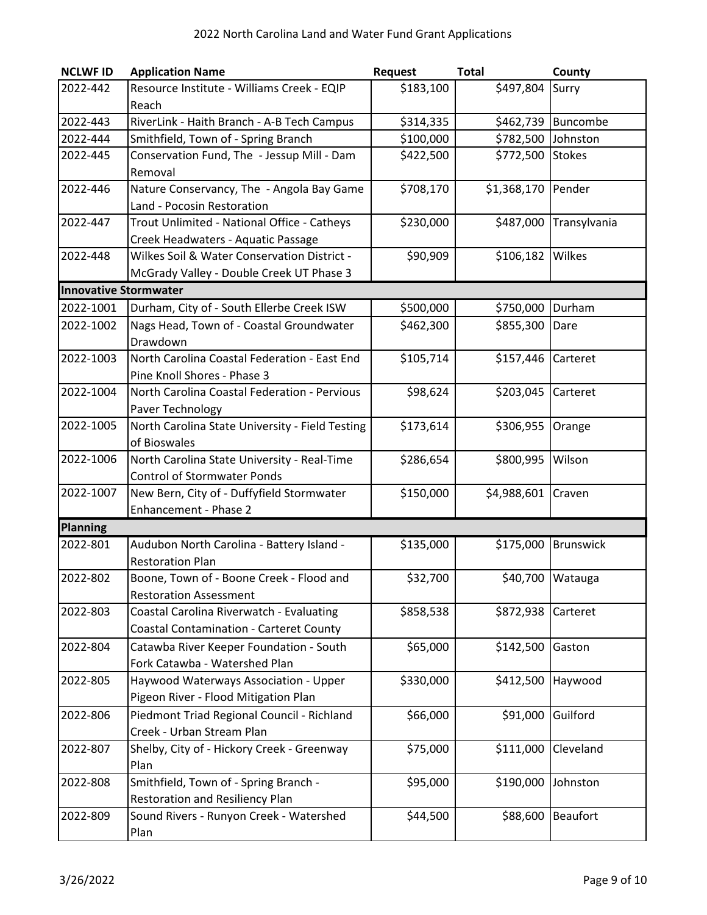| <b>NCLWF ID</b>              | <b>Application Name</b>                         | <b>Request</b> | <b>Total</b> | County           |
|------------------------------|-------------------------------------------------|----------------|--------------|------------------|
| 2022-442                     | Resource Institute - Williams Creek - EQIP      | \$183,100      | \$497,804    | Surry            |
|                              | Reach                                           |                |              |                  |
| 2022-443                     | RiverLink - Haith Branch - A-B Tech Campus      | \$314,335      | \$462,739    | Buncombe         |
| 2022-444                     | Smithfield, Town of - Spring Branch             | \$100,000      | \$782,500    | Johnston         |
| 2022-445                     | Conservation Fund, The - Jessup Mill - Dam      | \$422,500      | \$772,500    | <b>Stokes</b>    |
|                              | Removal                                         |                |              |                  |
| 2022-446                     | Nature Conservancy, The - Angola Bay Game       | \$708,170      | \$1,368,170  | Pender           |
|                              | Land - Pocosin Restoration                      |                |              |                  |
| 2022-447                     | Trout Unlimited - National Office - Catheys     | \$230,000      | \$487,000    | Transylvania     |
|                              | Creek Headwaters - Aquatic Passage              |                |              |                  |
| 2022-448                     | Wilkes Soil & Water Conservation District -     | \$90,909       | \$106,182    | Wilkes           |
|                              | McGrady Valley - Double Creek UT Phase 3        |                |              |                  |
| <b>Innovative Stormwater</b> |                                                 |                |              |                  |
| 2022-1001                    | Durham, City of - South Ellerbe Creek ISW       | \$500,000      | \$750,000    | Durham           |
| 2022-1002                    | Nags Head, Town of - Coastal Groundwater        | \$462,300      | \$855,300    | Dare             |
|                              | Drawdown                                        |                |              |                  |
| 2022-1003                    | North Carolina Coastal Federation - East End    | \$105,714      | \$157,446    | Carteret         |
|                              | Pine Knoll Shores - Phase 3                     |                |              |                  |
| 2022-1004                    | North Carolina Coastal Federation - Pervious    | \$98,624       | \$203,045    | Carteret         |
|                              | Paver Technology                                |                |              |                  |
| 2022-1005                    | North Carolina State University - Field Testing | \$173,614      | \$306,955    | Orange           |
|                              | of Bioswales                                    |                |              |                  |
| 2022-1006                    | North Carolina State University - Real-Time     | \$286,654      | \$800,995    | Wilson           |
|                              | <b>Control of Stormwater Ponds</b>              |                |              |                  |
| 2022-1007                    | New Bern, City of - Duffyfield Stormwater       | \$150,000      | \$4,988,601  | Craven           |
|                              | Enhancement - Phase 2                           |                |              |                  |
| <b>Planning</b>              |                                                 |                |              |                  |
| 2022-801                     | Audubon North Carolina - Battery Island -       | \$135,000      | \$175,000    | <b>Brunswick</b> |
|                              | <b>Restoration Plan</b>                         |                |              |                  |
| 2022-802                     | Boone, Town of - Boone Creek - Flood and        | \$32,700       |              | \$40,700 Watauga |
|                              | <b>Restoration Assessment</b>                   |                |              |                  |
| 2022-803                     | Coastal Carolina Riverwatch - Evaluating        | \$858,538      | \$872,938    | Carteret         |
|                              | <b>Coastal Contamination - Carteret County</b>  |                |              |                  |
| 2022-804                     | Catawba River Keeper Foundation - South         | \$65,000       | \$142,500    | Gaston           |
|                              | Fork Catawba - Watershed Plan                   |                |              |                  |
| 2022-805                     | Haywood Waterways Association - Upper           | \$330,000      | \$412,500    | Haywood          |
|                              | Pigeon River - Flood Mitigation Plan            |                |              |                  |
| 2022-806                     | Piedmont Triad Regional Council - Richland      | \$66,000       | \$91,000     | Guilford         |
|                              | Creek - Urban Stream Plan                       |                |              |                  |
| 2022-807                     | Shelby, City of - Hickory Creek - Greenway      | \$75,000       | \$111,000    | Cleveland        |
|                              | Plan                                            |                |              |                  |
| 2022-808                     | Smithfield, Town of - Spring Branch -           | \$95,000       | \$190,000    | Johnston         |
|                              | <b>Restoration and Resiliency Plan</b>          |                |              |                  |
| 2022-809                     | Sound Rivers - Runyon Creek - Watershed         | \$44,500       | \$88,600     | <b>Beaufort</b>  |
|                              | Plan                                            |                |              |                  |